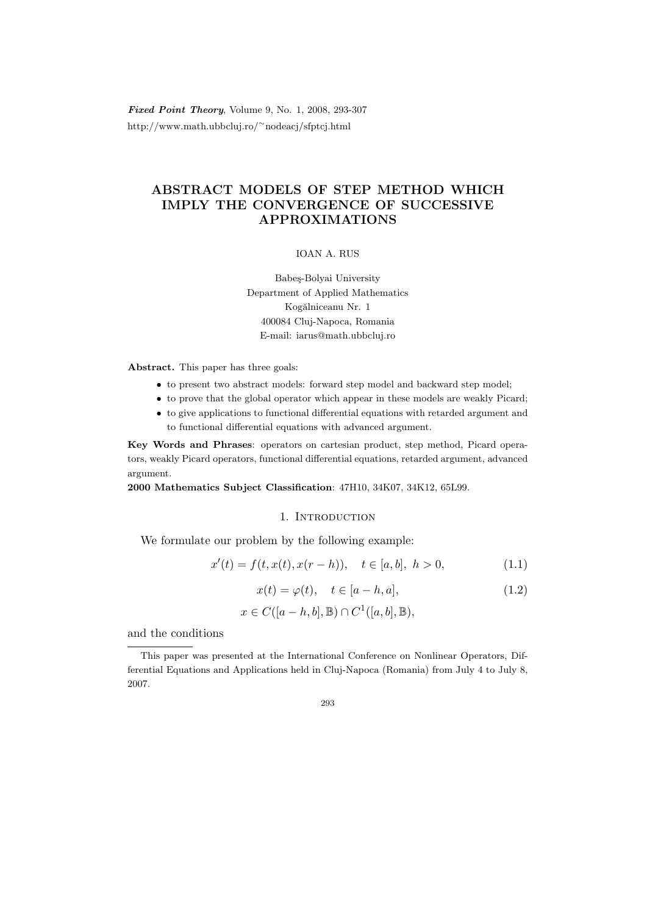Fixed Point Theory, Volume 9, No. 1, 2008, 293-307 http://www.math.ubbcluj.ro/<sup>∼</sup>nodeacj/sfptcj.html

# ABSTRACT MODELS OF STEP METHOD WHICH IMPLY THE CONVERGENCE OF SUCCESSIVE APPROXIMATIONS

#### IOAN A. RUS

Babeş-Bolyai University Department of Applied Mathematics Kogălniceanu Nr. 1 400084 Cluj-Napoca, Romania E-mail: iarus@math.ubbcluj.ro

Abstract. This paper has three goals:

- to present two abstract models: forward step model and backward step model;
- to prove that the global operator which appear in these models are weakly Picard;
- to give applications to functional differential equations with retarded argument and to functional differential equations with advanced argument.

Key Words and Phrases: operators on cartesian product, step method, Picard operators, weakly Picard operators, functional differential equations, retarded argument, advanced argument.

2000 Mathematics Subject Classification: 47H10, 34K07, 34K12, 65L99.

### 1. INTRODUCTION

We formulate our problem by the following example:

$$
x'(t) = f(t, x(t), x(r - h)), \quad t \in [a, b], \ h > 0,
$$
\n(1.1)

$$
x(t) = \varphi(t), \quad t \in [a-h, a], \tag{1.2}
$$

$$
x \in C([a-h,b], \mathbb{B}) \cap C^1([a,b], \mathbb{B}),
$$

and the conditions

This paper was presented at the International Conference on Nonlinear Operators, Differential Equations and Applications held in Cluj-Napoca (Romania) from July 4 to July 8, 2007.

<sup>293</sup>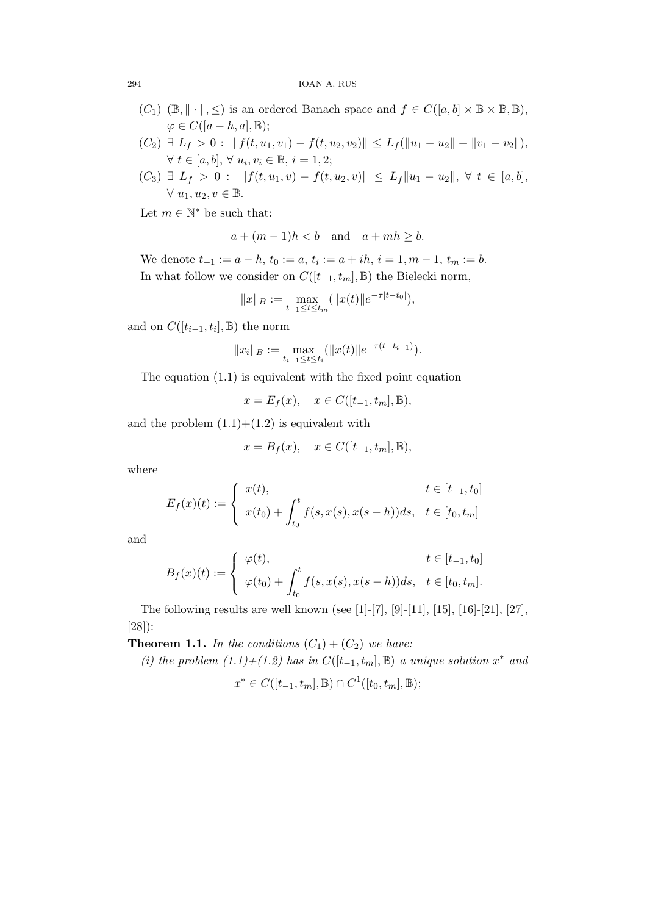#### 294 IOAN A. RUS

- $(C_1)$  ( $\mathbb{B}, \|\cdot\|, \leq$ ) is an ordered Banach space and  $f \in C([a, b] \times \mathbb{B} \times \mathbb{B}, \mathbb{B}),$  $\varphi \in C([a-h, a], \mathbb{B});$
- $(C_2) \ \exists \ L_f > 0 : \|f(t, u_1, v_1) f(t, u_2, v_2)\| \leq L_f(\|u_1 u_2\| + \|v_1 v_2\|),$  $\forall t \in [a, b], \forall u_i, v_i \in \mathbb{B}, i = 1, 2;$
- $(C_3) \ \exists \ L_f \ > \ 0 \ : \ \|f(t, u_1, v) f(t, u_2, v)\| \ \le \ L_f \|u_1 u_2\|, \ \forall \ t \ \in \ [a, b],$  $\forall u_1, u_2, v \in \mathbb{B}.$

Let  $m \in \mathbb{N}^*$  be such that:

$$
a + (m-1)h < b \quad \text{and} \quad a + mh \ge b.
$$

We denote  $t_{-1} := a - h$ ,  $t_0 := a$ ,  $t_i := a + ih$ ,  $i = \overline{1, m - 1}$ ,  $t_m := b$ . In what follow we consider on  $C([t_{-1}, t_m], \mathbb{B})$  the Bielecki norm,

$$
||x||_B := \max_{t_{-1} \le t \le t_m} (||x(t)||e^{-\tau|t-t_0|}),
$$

and on  $C([t_{i-1}, t_i], \mathbb{B})$  the norm

$$
||x_i||_B := \max_{t_{i-1} \le t \le t_i} (||x(t)||e^{-\tau(t-t_{i-1})}).
$$

The equation (1.1) is equivalent with the fixed point equation

$$
x = E_f(x), \quad x \in C([t_{-1}, t_m], \mathbb{B}),
$$

and the problem  $(1.1)+(1.2)$  is equivalent with

$$
x = B_f(x), \quad x \in C([t_{-1}, t_m], \mathbb{B}),
$$

where

$$
E_f(x)(t) := \begin{cases} x(t), & t \in [t_{-1}, t_0] \\ x(t_0) + \int_{t_0}^t f(s, x(s), x(s-h)) ds, & t \in [t_0, t_m] \end{cases}
$$

and

$$
B_f(x)(t) := \begin{cases} \varphi(t), & t \in [t_{-1}, t_0] \\ \varphi(t_0) + \int_{t_0}^t f(s, x(s), x(s-h)) ds, & t \in [t_0, t_m]. \end{cases}
$$

The following results are well known (see [1]-[7], [9]-[11], [15], [16]-[21], [27], [28]):

**Theorem 1.1.** In the conditions  $(C_1) + (C_2)$  we have:

(i) the problem  $(1.1)+(1.2)$  has in  $C([t_{-1}, t_m], \mathbb{B})$  a unique solution  $x^*$  and

$$
x^* \in C([t_{-1}, t_m], \mathbb{B}) \cap C^1([t_0, t_m], \mathbb{B});
$$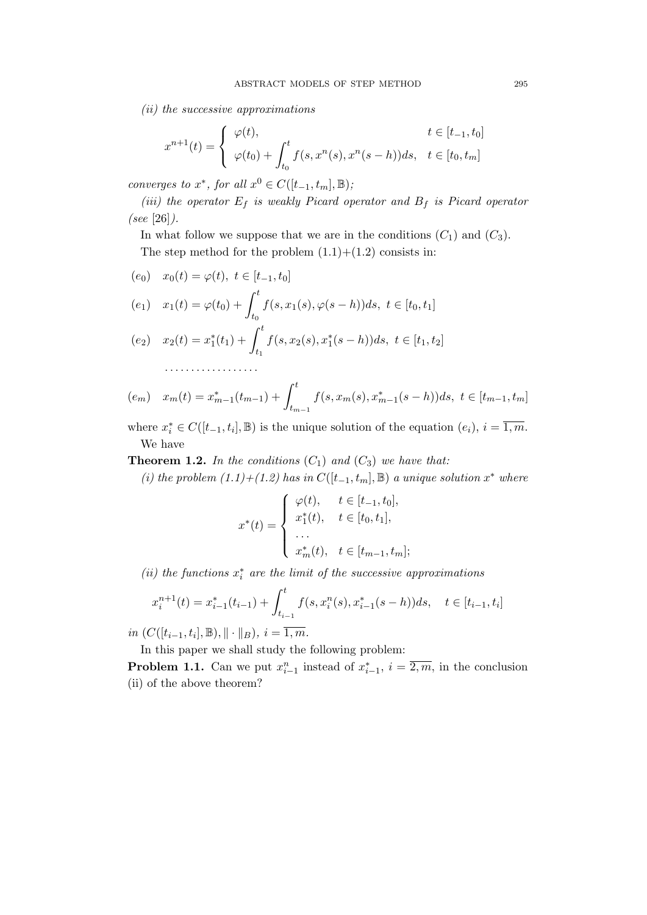(ii) the successive approximations

$$
x^{n+1}(t) = \begin{cases} \varphi(t), & t \in [t_{-1}, t_0] \\ \varphi(t_0) + \int_{t_0}^t f(s, x^n(s), x^n(s - h)) ds, & t \in [t_0, t_m] \end{cases}
$$

converges to  $x^*$ , for all  $x^0 \in C([t_{-1}, t_m], \mathbb{B})$ ;

(iii) the operator  $E_f$  is weakly Picard operator and  $B_f$  is Picard operator (see [26]).

In what follow we suppose that we are in the conditions  $(C_1)$  and  $(C_3)$ . The step method for the problem  $(1.1)+(1.2)$  consists in:

$$
(e_0) \quad x_0(t) = \varphi(t), \ t \in [t_{-1}, t_0]
$$

. . . . . . . . . . . . . . . . . .

$$
(e_1) \quad x_1(t) = \varphi(t_0) + \int_{t_0}^t f(s, x_1(s), \varphi(s-h)) ds, \ t \in [t_0, t_1]
$$

$$
(e_2) \quad x_2(t) = x_1^*(t_1) + \int_{t_1}^t f(s, x_2(s), x_1^*(s - h)) ds, \ t \in [t_1, t_2]
$$

$$
(e_m) \quad x_m(t) = x_{m-1}^*(t_{m-1}) + \int_{t_{m-1}}^t f(s, x_m(s), x_{m-1}^*(s-h)) ds, \ t \in [t_{m-1}, t_m]
$$

where  $x_i^* \in C([t_{-1}, t_i], \mathbb{B})$  is the unique solution of the equation  $(e_i)$ ,  $i = \overline{1, m}$ . We have

**Theorem 1.2.** In the conditions  $(C_1)$  and  $(C_3)$  we have that:

(i) the problem  $(1.1)+(1.2)$  has in  $C([t_{-1}, t_m], \mathbb{B})$  a unique solution  $x^*$  where

$$
x^*(t) = \begin{cases} \varphi(t), & t \in [t_{-1}, t_0], \\ x_1^*(t), & t \in [t_0, t_1], \\ \dots \\ x_m^*(t), & t \in [t_{m-1}, t_m]; \end{cases}
$$

(ii) the functions  $x_i^*$  are the limit of the successive approximations

$$
x_i^{n+1}(t) = x_{i-1}^*(t_{i-1}) + \int_{t_{i-1}}^t f(s, x_i^n(s), x_{i-1}^*(s-h))ds, \quad t \in [t_{i-1}, t_i]
$$

*in*  $(C([t_{i-1}, t_i], \mathbb{B}), || \cdot ||_B), i = \overline{1, m}.$ 

In this paper we shall study the following problem:

**Problem 1.1.** Can we put  $x_{i-1}^n$  instead of  $x_{i-1}^*, i = \overline{2,m}$ , in the conclusion (ii) of the above theorem?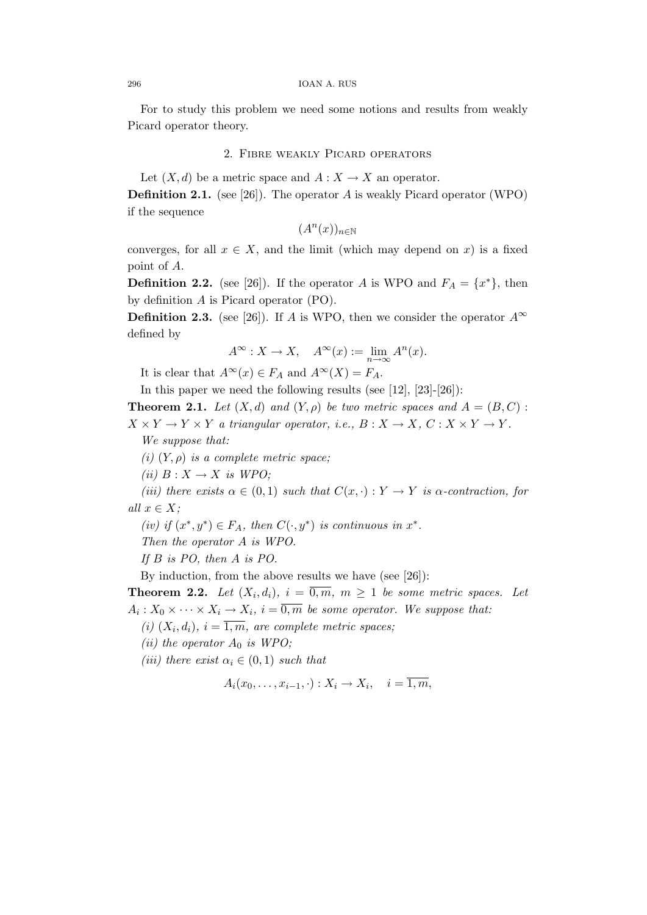For to study this problem we need some notions and results from weakly Picard operator theory.

## 2. Fibre weakly Picard operators

Let  $(X, d)$  be a metric space and  $A: X \to X$  an operator.

**Definition 2.1.** (see [26]). The operator A is weakly Picard operator (WPO) if the sequence

 $(A^n(x))_{n\in\mathbb{N}}$ 

converges, for all  $x \in X$ , and the limit (which may depend on x) is a fixed point of A.

**Definition 2.2.** (see [26]). If the operator A is WPO and  $F_A = \{x^*\}$ , then by definition A is Picard operator (PO).

**Definition 2.3.** (see [26]). If A is WPO, then we consider the operator  $A^{\infty}$ defined by

$$
A^{\infty}: X \to X, \quad A^{\infty}(x) := \lim_{n \to \infty} A^n(x).
$$

It is clear that  $A^{\infty}(x) \in F_A$  and  $A^{\infty}(X) = F_A$ .

In this paper we need the following results (see [12], [23]-[26]):

**Theorem 2.1.** Let  $(X, d)$  and  $(Y, \rho)$  be two metric spaces and  $A = (B, C)$ :

 $X \times Y \to Y \times Y$  a triangular operator, i.e.,  $B: X \to X$ ,  $C: X \times Y \to Y$ .

We suppose that:

(i)  $(Y, \rho)$  is a complete metric space;

(ii)  $B: X \to X$  is WPO;

(iii) there exists  $\alpha \in (0,1)$  such that  $C(x, \cdot): Y \to Y$  is  $\alpha$ -contraction, for all  $x \in X$ ;

(iv) if  $(x^*, y^*) \in F_A$ , then  $C(\cdot, y^*)$  is continuous in  $x^*$ .

Then the operator A is WPO.

If B is PO, then A is PO.

By induction, from the above results we have (see [26]):

**Theorem 2.2.** Let  $(X_i, d_i)$ ,  $i = \overline{0,m}$ ,  $m \ge 1$  be some metric spaces. Let  $A_i: X_0 \times \cdots \times X_i \to X_i, i = \overline{0,m}$  be some operator. We suppose that:

(i)  $(X_i, d_i)$ ,  $i = \overline{1,m}$ , are complete metric spaces;

(ii) the operator  $A_0$  is WPO;

(iii) there exist  $\alpha_i \in (0,1)$  such that

$$
A_i(x_0,\ldots,x_{i-1},\cdot):X_i\to X_i,\quad i=\overline{1,m},
$$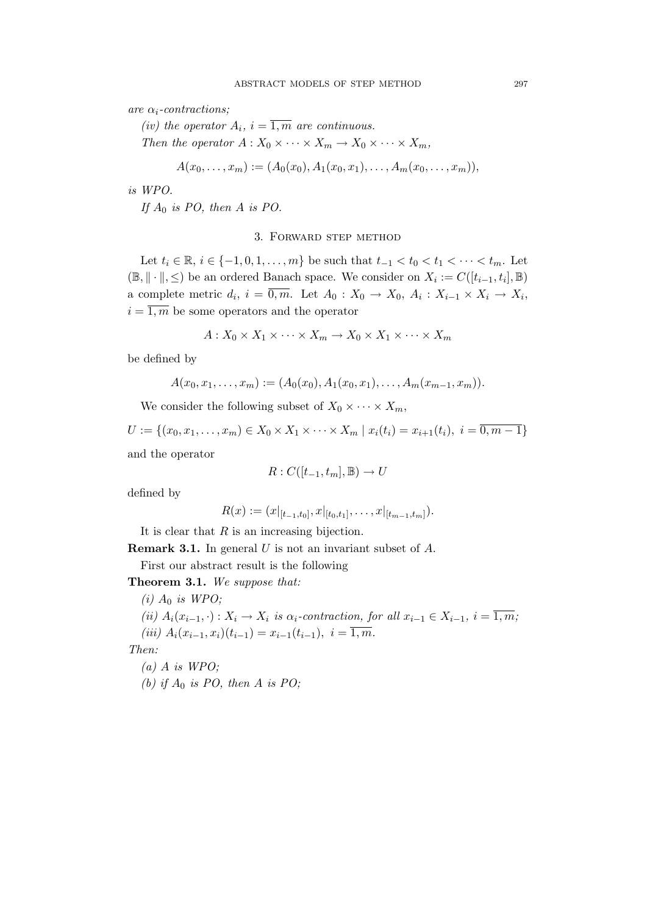are  $\alpha_i$ -contractions;

(iv) the operator  $A_i$ ,  $i = \overline{1,m}$  are continuous. Then the operator  $A: X_0 \times \cdots \times X_m \to X_0 \times \cdots \times X_m$ ,

$$
A(x_0,\ldots,x_m):=(A_0(x_0),A_1(x_0,x_1),\ldots,A_m(x_0,\ldots,x_m)),
$$

is WPO.

If  $A_0$  is PO, then A is PO.

## 3. Forward step method

Let  $t_i \in \mathbb{R}, i \in \{-1, 0, 1, \ldots, m\}$  be such that  $t_{-1} < t_0 < t_1 < \cdots < t_m$ . Let  $(\mathbb{B}, \|\cdot\|, \leq)$  be an ordered Banach space. We consider on  $X_i := C([t_{i-1}, t_i], \mathbb{B})$ a complete metric  $d_i$ ,  $i = \overline{0,m}$ . Let  $A_0: X_0 \to X_0$ ,  $A_i: X_{i-1} \times X_i \to X_i$ ,  $i = \overline{1,m}$  be some operators and the operator

$$
A: X_0 \times X_1 \times \cdots \times X_m \to X_0 \times X_1 \times \cdots \times X_m
$$

be defined by

$$
A(x_0,x_1,\ldots,x_m):=(A_0(x_0),A_1(x_0,x_1),\ldots,A_m(x_{m-1},x_m)).
$$

We consider the following subset of  $X_0 \times \cdots \times X_m$ ,

 $U := \{(x_0, x_1, \ldots, x_m) \in X_0 \times X_1 \times \cdots \times X_m \mid x_i(t_i) = x_{i+1}(t_i), i = \overline{0, m-1}\}\$ and the operator

$$
R: C([t_{-1}, t_m], \mathbb{B}) \to U
$$

defined by

$$
R(x) := (x|_{[t_{-1},t_0]}, x|_{[t_0,t_1]}, \ldots, x|_{[t_{m-1},t_m]}).
$$

It is clear that  $R$  is an increasing bijection.

**Remark 3.1.** In general U is not an invariant subset of  $A$ .

First our abstract result is the following

Theorem 3.1. We suppose that:

(i)  $A_0$  is WPO; (ii)  $A_i(x_{i-1}, \cdot) : X_i \to X_i$  is  $\alpha_i$ -contraction, for all  $x_{i-1} \in X_{i-1}, i = \overline{1,m}$ ; (iii)  $A_i(x_{i-1}, x_i)(t_{i-1}) = x_{i-1}(t_{i-1}), i = \overline{1,m}.$ Then:

 $(a)$  A is WPO; (b) if  $A_0$  is PO, then A is PO;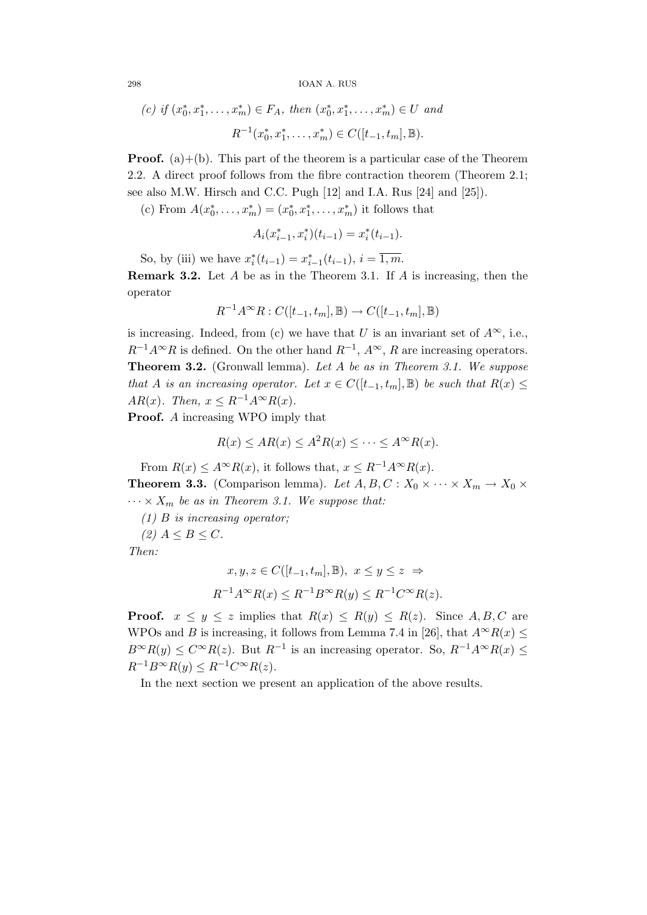298 IOAN A. RUS

(c) if 
$$
(x_0^*, x_1^*, \ldots, x_m^*) \in F_A
$$
, then  $(x_0^*, x_1^*, \ldots, x_m^*) \in U$  and  

$$
R^{-1}(x_0^*, x_1^*, \ldots, x_m^*) \in C([t_{-1}, t_m], \mathbb{B}).
$$

**Proof.** (a) $+(b)$ . This part of the theorem is a particular case of the Theorem 2.2. A direct proof follows from the fibre contraction theorem (Theorem 2.1; see also M.W. Hirsch and C.C. Pugh [12] and I.A. Rus [24] and [25]).

(c) From  $A(x_0^*, \ldots, x_m^*) = (x_0^*, x_1^*, \ldots, x_m^*)$  it follows that

$$
A_i(x_{i-1}^*, x_i^*)(t_{i-1}) = x_i^*(t_{i-1}).
$$

So, by (iii) we have  $x_i^*(t_{i-1}) = x_{i-1}^*(t_{i-1}), i = \overline{1,m}$ .

**Remark 3.2.** Let  $A$  be as in the Theorem 3.1. If  $A$  is increasing, then the operator

$$
R^{-1}A^{\infty}R:C([t_{-1},t_m],\mathbb{B})\to C([t_{-1},t_m],\mathbb{B})
$$

is increasing. Indeed, from (c) we have that U is an invariant set of  $A^{\infty}$ , i.e.,  $R^{-1}A^{\infty}R$  is defined. On the other hand  $R^{-1}$ ,  $A^{\infty}$ , R are increasing operators. Theorem 3.2. (Gronwall lemma). Let A be as in Theorem 3.1. We suppose that A is an increasing operator. Let  $x \in C([t_{-1}, t_m], \mathbb{B})$  be such that  $R(x) \leq$ AR(x). Then,  $x \leq R^{-1}A^{\infty}R(x)$ .

**Proof.** A increasing WPO imply that

$$
R(x) \le AR(x) \le A^2 R(x) \le \dots \le A^\infty R(x).
$$

From  $R(x) \leq A^{\infty} R(x)$ , it follows that,  $x \leq R^{-1} A^{\infty} R(x)$ . **Theorem 3.3.** (Comparison lemma). Let  $A, B, C : X_0 \times \cdots \times X_m \to X_0 \times$ 

 $\cdots \times X_m$  be as in Theorem 3.1. We suppose that:

 $(1)$  B is increasing operator;

(2)  $A \leq B \leq C$ .

Then:

$$
x, y, z \in C([t_{-1}, t_m], \mathbb{B}), \ x \le y \le z \Rightarrow
$$
  

$$
R^{-1}A^{\infty}R(x) \le R^{-1}B^{\infty}R(y) \le R^{-1}C^{\infty}R(z).
$$

**Proof.**  $x \leq y \leq z$  implies that  $R(x) \leq R(y) \leq R(z)$ . Since A, B, C are WPOs and B is increasing, it follows from Lemma 7.4 in [26], that  $A^{\infty}R(x) \le$  $B^{\infty}R(y) \leq C^{\infty}R(z)$ . But  $R^{-1}$  is an increasing operator. So,  $R^{-1}A^{\infty}R(x) \leq$  $R^{-1}B^{\infty}R(y) \leq R^{-1}C^{\infty}R(z).$ 

In the next section we present an application of the above results.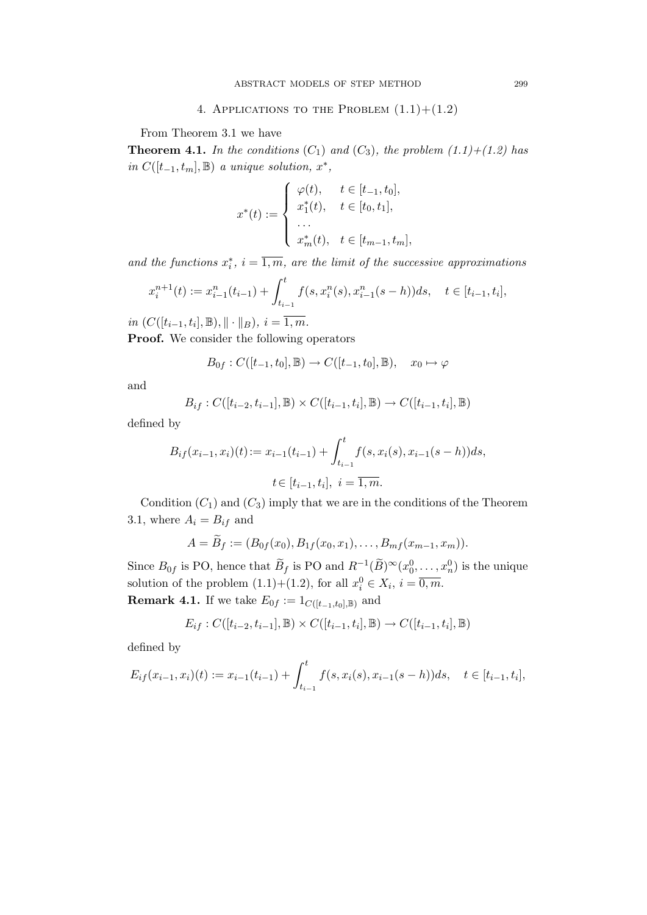4. APPLICATIONS TO THE PROBLEM  $(1.1)+(1.2)$ 

From Theorem 3.1 we have

**Theorem 4.1.** In the conditions  $(C_1)$  and  $(C_3)$ , the problem  $(1.1)+(1.2)$  has in  $C([t_{-1}, t_m], \mathbb{B})$  a unique solution,  $x^*$ ,

$$
x^*(t) := \begin{cases} \varphi(t), & t \in [t_{-1}, t_0], \\ x_1^*(t), & t \in [t_0, t_1], \\ \dots \\ x_m^*(t), & t \in [t_{m-1}, t_m], \end{cases}
$$

and the functions  $x_i^*$ ,  $i = \overline{1,m}$ , are the limit of the successive approximations

$$
x_i^{n+1}(t) := x_{i-1}^n(t_{i-1}) + \int_{t_{i-1}}^t f(s, x_i^n(s), x_{i-1}^n(s - h)) ds, \quad t \in [t_{i-1}, t_i],
$$

*in*  $(C([t_{i-1}, t_i], \mathbb{B}), || \cdot ||_B), i = \overline{1, m}.$ 

Proof. We consider the following operators

$$
B_{0f}: C([t_{-1}, t_0], \mathbb{B}) \to C([t_{-1}, t_0], \mathbb{B}), \quad x_0 \mapsto \varphi
$$

and

$$
B_{if}: C([t_{i-2}, t_{i-1}], \mathbb{B}) \times C([t_{i-1}, t_i], \mathbb{B}) \to C([t_{i-1}, t_i], \mathbb{B})
$$

defined by

$$
B_{if}(x_{i-1}, x_i)(t) := x_{i-1}(t_{i-1}) + \int_{t_{i-1}}^t f(s, x_i(s), x_{i-1}(s-h))ds,
$$
  

$$
t \in [t_{i-1}, t_i], i = \overline{1, m}.
$$

Condition  $(C_1)$  and  $(C_3)$  imply that we are in the conditions of the Theorem 3.1, where  $A_i = B_{if}$  and

$$
A = \widetilde{B}_f := (B_{0f}(x_0), B_{1f}(x_0, x_1), \ldots, B_{mf}(x_{m-1}, x_m)).
$$

Since  $B_{0f}$  is PO, hence that  $\widetilde{B}_f$  is PO and  $R^{-1}(\widetilde{B})^{\infty}(x_0^0, \ldots, x_n^0)$  is the unique solution of the problem  $(1.1)+(1.2)$ , for all  $x_i^0 \in X_i$ ,  $i = \overline{0,m}$ . **Remark 4.1.** If we take  $E_{0f} := 1_{C([t_{-1},t_0],\mathbb{B})}$  and

$$
E_{if}:C([t_{i-2},t_{i-1}],\mathbb{B})\times C([t_{i-1},t_i],\mathbb{B})\rightarrow C([t_{i-1},t_i],\mathbb{B})
$$

defined by

$$
E_{if}(x_{i-1}, x_i)(t) := x_{i-1}(t_{i-1}) + \int_{t_{i-1}}^t f(s, x_i(s), x_{i-1}(s-h))ds, \quad t \in [t_{i-1}, t_i],
$$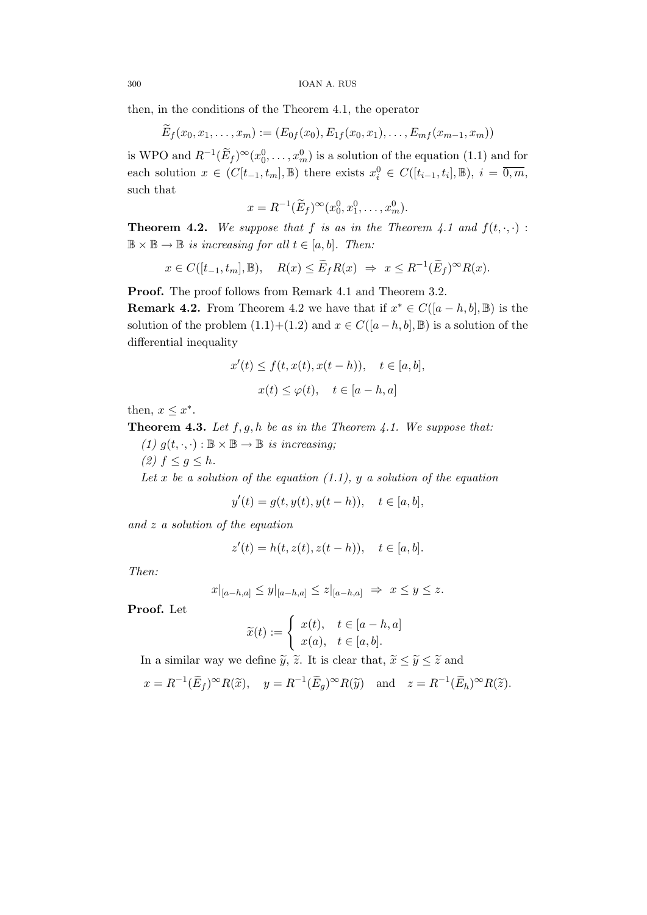then, in the conditions of the Theorem 4.1, the operator

$$
\widetilde{E}_f(x_0,x_1,\ldots,x_m):=(E_{0f}(x_0),E_{1f}(x_0,x_1),\ldots,E_{mf}(x_{m-1},x_m))
$$

is WPO and  $R^{-1}(\widetilde{E}_f)^\infty(x_0^0,\ldots,x_m^0)$  is a solution of the equation (1.1) and for each solution  $x \in (C[t_{-1}, t_m], \mathbb{B})$  there exists  $x_i^0 \in C([t_{i-1}, t_i], \mathbb{B}), i = \overline{0, m}$ , such that

$$
x = R^{-1}(\widetilde{E}_f)^\infty(x_0^0, x_1^0, \dots, x_m^0).
$$

**Theorem 4.2.** We suppose that f is as in the Theorem 4.1 and  $f(t, \cdot, \cdot)$ :  $\mathbb{B} \times \mathbb{B} \to \mathbb{B}$  is increasing for all  $t \in [a, b]$ . Then:

$$
x \in C([t_{-1}, t_m], \mathbb{B}), \quad R(x) \leq \widetilde{E}_f R(x) \Rightarrow x \leq R^{-1}(\widetilde{E}_f)^\infty R(x).
$$

Proof. The proof follows from Remark 4.1 and Theorem 3.2.

**Remark 4.2.** From Theorem 4.2 we have that if  $x^* \in C([a - h, b], \mathbb{B})$  is the solution of the problem  $(1.1)+(1.2)$  and  $x \in C([a-h,b],\mathbb{B})$  is a solution of the differential inequality

$$
x'(t) \le f(t, x(t), x(t-h)), \quad t \in [a, b],
$$
  

$$
x(t) \le \varphi(t), \quad t \in [a-h, a]
$$

then,  $x \leq x^*$ .

**Theorem 4.3.** Let  $f, g, h$  be as in the Theorem 4.1. We suppose that:

- (1)  $g(t, \cdot, \cdot) : \mathbb{B} \times \mathbb{B} \to \mathbb{B}$  is increasing;
- (2)  $f \leq g \leq h$ .

Let x be a solution of the equation  $(1.1)$ , y a solution of the equation

$$
y'(t) = g(t, y(t), y(t - h)), \quad t \in [a, b],
$$

and z a solution of the equation

$$
z'(t) = h(t, z(t), z(t - h)), \quad t \in [a, b].
$$

Then:

$$
x|_{[a-h,a]} \le y|_{[a-h,a]} \le z|_{[a-h,a]} \Rightarrow x \le y \le z.
$$

Proof. Let

$$
\widetilde{x}(t) := \begin{cases}\nx(t), & t \in [a-h, a] \\
x(a), & t \in [a, b].\n\end{cases}
$$

In a similar way we define  $\tilde{y}$ ,  $\tilde{z}$ . It is clear that,  $\tilde{x} \leq \tilde{y} \leq \tilde{z}$  and

$$
x = R^{-1}(\widetilde{E}_f)^\infty R(\widetilde{x}), \quad y = R^{-1}(\widetilde{E}_g)^\infty R(\widetilde{y}) \quad \text{and} \quad z = R^{-1}(\widetilde{E}_h)^\infty R(\widetilde{z}).
$$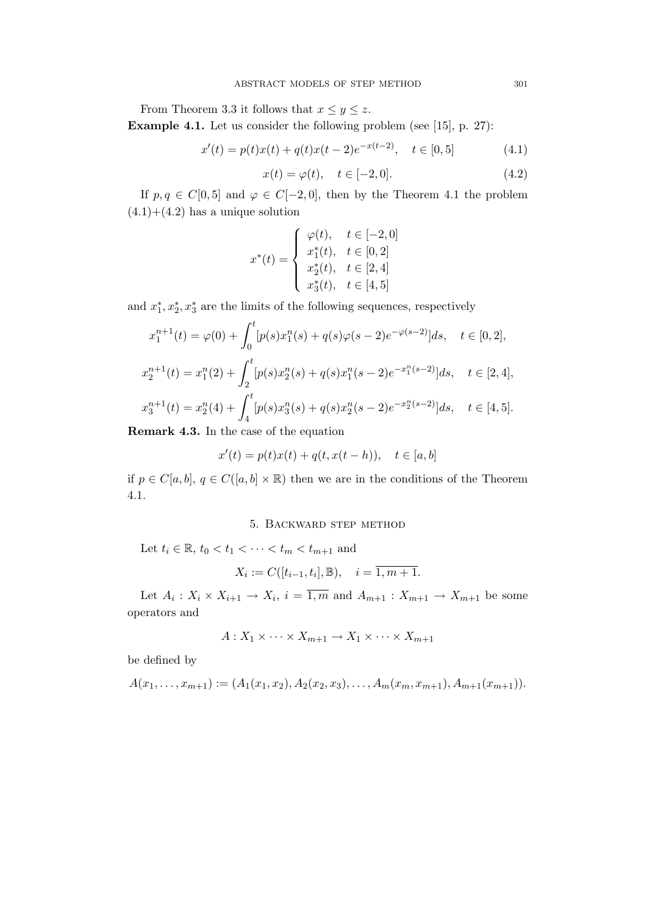From Theorem 3.3 it follows that  $x \le y \le z$ . Example 4.1. Let us consider the following problem (see [15], p. 27):

$$
x'(t) = p(t)x(t) + q(t)x(t-2)e^{-x(t-2)}, \quad t \in [0,5]
$$
\n(4.1)

$$
x(t) = \varphi(t), \quad t \in [-2, 0].
$$
 (4.2)

If  $p, q \in C[0, 5]$  and  $\varphi \in C[-2, 0]$ , then by the Theorem 4.1 the problem  $(4.1)+(4.2)$  has a unique solution

$$
x^*(t) = \begin{cases} \varphi(t), & t \in [-2, 0] \\ x_1^*(t), & t \in [0, 2] \\ x_2^*(t), & t \in [2, 4] \\ x_3^*(t), & t \in [4, 5] \end{cases}
$$

and  $x_1^*, x_2^*, x_3^*$  are the limits of the following sequences, respectively

$$
x_1^{n+1}(t) = \varphi(0) + \int_0^t [p(s)x_1^n(s) + q(s)\varphi(s-2)e^{-\varphi(s-2)}]ds, \quad t \in [0,2],
$$
  

$$
x_2^{n+1}(t) = x_1^n(2) + \int_2^t [p(s)x_2^n(s) + q(s)x_1^n(s-2)e^{-x_1^n(s-2)}]ds, \quad t \in [2,4],
$$
  

$$
x_3^{n+1}(t) = x_2^n(4) + \int_4^t [p(s)x_3^n(s) + q(s)x_2^n(s-2)e^{-x_2^n(s-2)}]ds, \quad t \in [4,5].
$$

Remark 4.3. In the case of the equation

$$
x'(t) = p(t)x(t) + q(t, x(t - h)), \quad t \in [a, b]
$$

if  $p \in C[a, b], q \in C([a, b] \times \mathbb{R})$  then we are in the conditions of the Theorem 4.1.

# 5. Backward step method

Let  $t_i \in \mathbb{R}$ ,  $t_0 < t_1 < \cdots < t_m < t_{m+1}$  and

$$
X_i := C([t_{i-1}, t_i], \mathbb{B}), \quad i = \overline{1, m + 1}.
$$

Let  $A_i: X_i \times X_{i+1} \to X_i$ ,  $i = \overline{1,m}$  and  $A_{m+1}: X_{m+1} \to X_{m+1}$  be some operators and

$$
A: X_1 \times \cdots \times X_{m+1} \to X_1 \times \cdots \times X_{m+1}
$$

be defined by

$$
A(x_1,\ldots,x_{m+1}) := (A_1(x_1,x_2), A_2(x_2,x_3), \ldots, A_m(x_m,x_{m+1}), A_{m+1}(x_{m+1})).
$$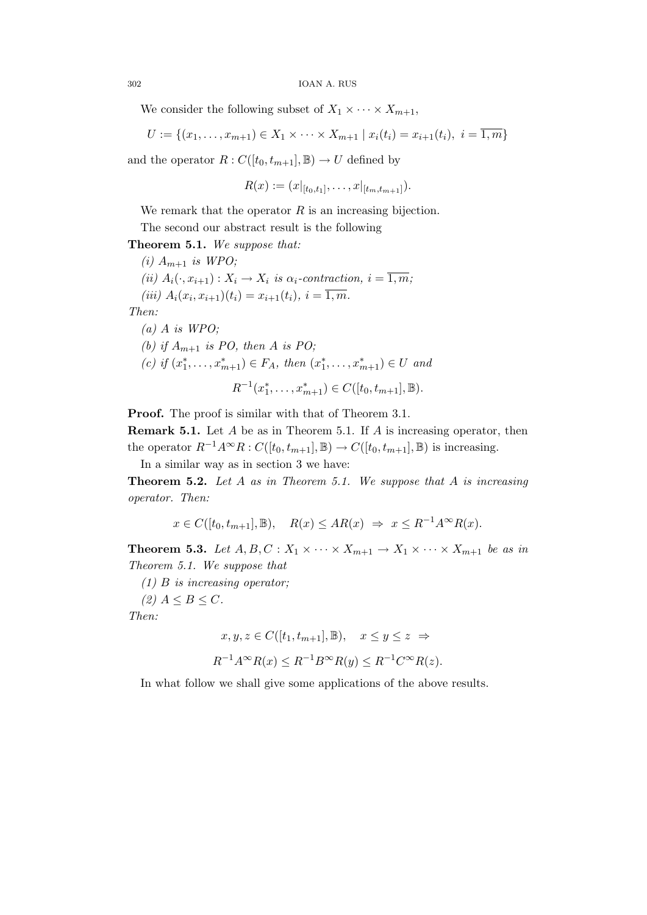We consider the following subset of  $X_1 \times \cdots \times X_{m+1}$ ,

$$
U := \{(x_1, \ldots, x_{m+1}) \in X_1 \times \cdots \times X_{m+1} \mid x_i(t_i) = x_{i+1}(t_i), \ i = \overline{1,m}\}\
$$

and the operator  $R: C([t_0, t_{m+1}], \mathbb{B}) \to U$  defined by

$$
R(x) := (x|_{[t_0,t_1]},\ldots,x|_{[t_m,t_{m+1}]}).
$$

We remark that the operator  $R$  is an increasing bijection.

The second our abstract result is the following

Theorem 5.1. We suppose that: (i)  $A_{m+1}$  is WPO; (ii)  $A_i(\cdot, x_{i+1}): X_i \to X_i$  is  $\alpha_i$ -contraction,  $i = \overline{1, m}$ ; (iii)  $A_i(x_i, x_{i+1})(t_i) = x_{i+1}(t_i), i = \overline{1, m}.$ Then:  $(a)$  A is WPO; (b) if  $A_{m+1}$  is PO, then A is PO;

(c) if 
$$
(x_1^*,...,x_{m+1}^*) \in F_A
$$
, then  $(x_1^*,...,x_{m+1}^*) \in U$  and

$$
R^{-1}(x_1^*, \ldots, x_{m+1}^*) \in C([t_0, t_{m+1}], \mathbb{B}).
$$

Proof. The proof is similar with that of Theorem 3.1.

**Remark 5.1.** Let  $A$  be as in Theorem 5.1. If  $A$  is increasing operator, then the operator  $R^{-1}A^{\infty}R : C([t_0, t_{m+1}], \mathbb{B}) \to C([t_0, t_{m+1}], \mathbb{B})$  is increasing.

In a similar way as in section 3 we have:

**Theorem 5.2.** Let A as in Theorem 5.1. We suppose that A is increasing operator. Then:

 $x \in C([t_0, t_{m+1}], \mathbb{B}), \quad R(x) \leq AR(x) \Rightarrow x \leq R^{-1}A^{\infty}R(x).$ 

**Theorem 5.3.** Let  $A, B, C: X_1 \times \cdots \times X_{m+1} \to X_1 \times \cdots \times X_{m+1}$  be as in Theorem 5.1. We suppose that

(1) B is increasing operator;

(2)  $A \leq B \leq C$ .

Then:

$$
x, y, z \in C([t_1, t_{m+1}], \mathbb{B}), \quad x \le y \le z \Rightarrow
$$
  

$$
R^{-1}A^{\infty}R(x) \le R^{-1}B^{\infty}R(y) \le R^{-1}C^{\infty}R(z).
$$

In what follow we shall give some applications of the above results.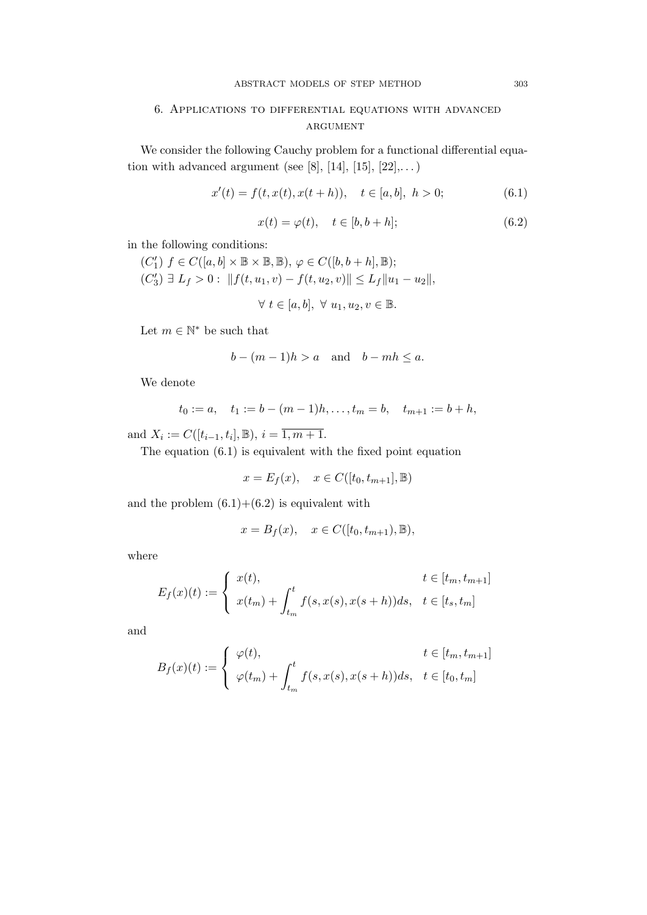# 6. Applications to differential equations with advanced **ARGUMENT**

We consider the following Cauchy problem for a functional differential equation with advanced argument (see [8], [14], [15],  $[22]$ ,...)

$$
x'(t) = f(t, x(t), x(t+h)), \quad t \in [a, b], \ h > 0; \tag{6.1}
$$

$$
x(t) = \varphi(t), \quad t \in [b, b+h]; \tag{6.2}
$$

in the following conditions:

$$
(C'_1) f \in C([a, b] \times \mathbb{B} \times \mathbb{B}, \mathbb{B}), \varphi \in C([b, b + h], \mathbb{B});
$$
  

$$
(C'_3) \exists L_f > 0 : ||f(t, u_1, v) - f(t, u_2, v)|| \le L_f ||u_1 - u_2||,
$$

$$
\forall t \in [a, b], \ \forall u_1, u_2, v \in \mathbb{B}.
$$

Let  $m \in \mathbb{N}^*$  be such that

$$
b - (m-1)h > a
$$
 and  $b - mh \le a$ .

We denote

$$
t_0 := a
$$
,  $t_1 := b - (m-1)h$ ,...,  $t_m = b$ ,  $t_{m+1} := b + h$ ,

and  $X_i := C([t_{i-1}, t_i], \mathbb{B}), i = \overline{1, m+1}.$ 

The equation (6.1) is equivalent with the fixed point equation

$$
x = E_f(x), \quad x \in C([t_0, t_{m+1}], \mathbb{B})
$$

and the problem  $(6.1)+(6.2)$  is equivalent with

$$
x = Bf(x), \quad x \in C([t0, tm+1), \mathbb{B}),
$$

where

$$
E_f(x)(t) := \begin{cases} x(t), & t \in [t_m, t_{m+1}] \\ x(t_m) + \int_{t_m}^t f(s, x(s), x(s+h)) ds, & t \in [t_s, t_m] \end{cases}
$$

and

$$
B_f(x)(t) := \begin{cases} \varphi(t), & t \in [t_m, t_{m+1}] \\ \varphi(t_m) + \int_{t_m}^t f(s, x(s), x(s+h)) ds, & t \in [t_0, t_m] \end{cases}
$$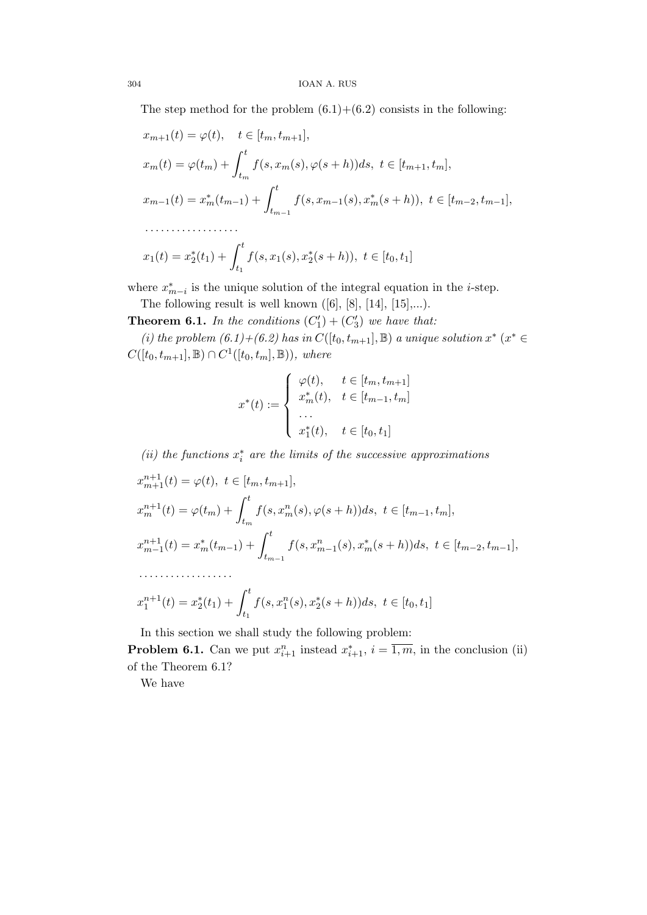The step method for the problem  $(6.1)+(6.2)$  consists in the following:

$$
x_{m+1}(t) = \varphi(t), \quad t \in [t_m, t_{m+1}],
$$
  
\n
$$
x_m(t) = \varphi(t_m) + \int_{t_m}^t f(s, x_m(s), \varphi(s+h))ds, \ t \in [t_{m+1}, t_m],
$$
  
\n
$$
x_{m-1}(t) = x_m^*(t_{m-1}) + \int_{t_{m-1}}^t f(s, x_{m-1}(s), x_m^*(s+h)), \ t \in [t_{m-2}, t_{m-1}],
$$
  
\n
$$
\dots
$$
  
\n
$$
x_1(t) = x_2^*(t_1) + \int_{t_1}^t f(s, x_1(s), x_2^*(s+h)), \ t \in [t_0, t_1]
$$

where  $x_{m-i}^*$  is the unique solution of the integral equation in the *i*-step.

The following result is well known  $([6], [8], [14], [15],...).$ 

**Theorem 6.1.** In the conditions  $(C'_1) + (C'_3)$  we have that:

(i) the problem  $(6.1)+(6.2)$  has in  $C([t_0, t_{m+1}], \mathbb{B})$  a unique solution  $x^*$  ( $x^* \in$  $C([t_0, t_{m+1}], \mathbb{B}) \cap C^1([t_0, t_m], \mathbb{B}))$ , where

$$
x^*(t) := \begin{cases} \varphi(t), & t \in [t_m, t_{m+1}] \\ x_m^*(t), & t \in [t_{m-1}, t_m] \\ \dots \\ x_1^*(t), & t \in [t_0, t_1] \end{cases}
$$

(ii) the functions  $x_i^*$  are the limits of the successive approximations

$$
x_{m+1}^{n+1}(t) = \varphi(t), \ t \in [t_m, t_{m+1}],
$$
  
\n
$$
x_m^{n+1}(t) = \varphi(t_m) + \int_{t_m}^t f(s, x_m^n(s), \varphi(s+h))ds, \ t \in [t_{m-1}, t_m],
$$
  
\n
$$
x_{m-1}^{n+1}(t) = x_m^*(t_{m-1}) + \int_{t_{m-1}}^t f(s, x_{m-1}^n(s), x_m^*(s+h))ds, \ t \in [t_{m-2}, t_{m-1}],
$$
  
\n
$$
\dots
$$
  
\n
$$
x_1^{n+1}(t) = x_2^*(t_1) + \int_{t_1}^t f(s, x_1^n(s), x_2^*(s+h))ds, \ t \in [t_0, t_1]
$$

In this section we shall study the following problem:

**Problem 6.1.** Can we put  $x_{i+1}^n$  instead  $x_{i+1}^*, i = \overline{1,m}$ , in the conclusion (ii) of the Theorem 6.1?

We have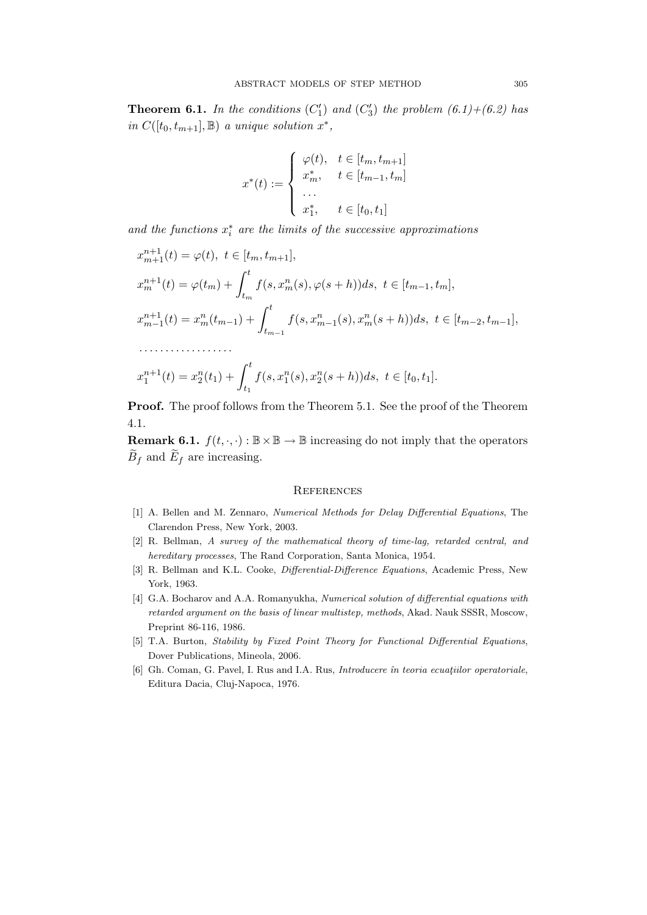**Theorem 6.1.** In the conditions  $(C'_1)$  and  $(C'_3)$  the problem  $(6.1)+(6.2)$  has in  $C([t_0, t_{m+1}], \mathbb{B})$  a unique solution  $x^*$ ,

$$
x^*(t) := \begin{cases} \varphi(t), & t \in [t_m, t_{m+1}] \\ x_m^*, & t \in [t_{m-1}, t_m] \\ \dots \\ x_1^*, & t \in [t_0, t_1] \end{cases}
$$

and the functions  $x_i^*$  are the limits of the successive approximations

$$
x_{m+1}^{n+1}(t) = \varphi(t), \ t \in [t_m, t_{m+1}],
$$
  
\n
$$
x_m^{n+1}(t) = \varphi(t_m) + \int_{t_m}^t f(s, x_m^n(s), \varphi(s+h)) ds, \ t \in [t_{m-1}, t_m],
$$
  
\n
$$
x_{m-1}^{n+1}(t) = x_m^n(t_{m-1}) + \int_{t_{m-1}}^t f(s, x_{m-1}^n(s), x_m^n(s+h)) ds, \ t \in [t_{m-2}, t_{m-1}],
$$
  
\n
$$
\dots
$$
  
\n
$$
x_1^{n+1}(t) = x_2^n(t_1) + \int_{t_1}^t f(s, x_1^n(s), x_2^n(s+h)) ds, \ t \in [t_0, t_1].
$$

Proof. The proof follows from the Theorem 5.1. See the proof of the Theorem 4.1.

**Remark 6.1.**  $f(t, \cdot, \cdot) : \mathbb{B} \times \mathbb{B} \to \mathbb{B}$  increasing do not imply that the operators  $B_f$  and  $E_f$  are increasing.

#### **REFERENCES**

- [1] A. Bellen and M. Zennaro, Numerical Methods for Delay Differential Equations, The Clarendon Press, New York, 2003.
- [2] R. Bellman, A survey of the mathematical theory of time-lag, retarded central, and hereditary processes, The Rand Corporation, Santa Monica, 1954.
- [3] R. Bellman and K.L. Cooke, *Differential-Difference Equations*, Academic Press, New York, 1963.
- [4] G.A. Bocharov and A.A. Romanyukha, Numerical solution of differential equations with retarded argument on the basis of linear multistep, methods, Akad. Nauk SSSR, Moscow, Preprint 86-116, 1986.
- [5] T.A. Burton, Stability by Fixed Point Theory for Functional Differential Equations, Dover Publications, Mineola, 2006.
- [6] Gh. Coman, G. Pavel, I. Rus and I.A. Rus, Introducere în teoria ecuatiilor operatoriale, Editura Dacia, Cluj-Napoca, 1976.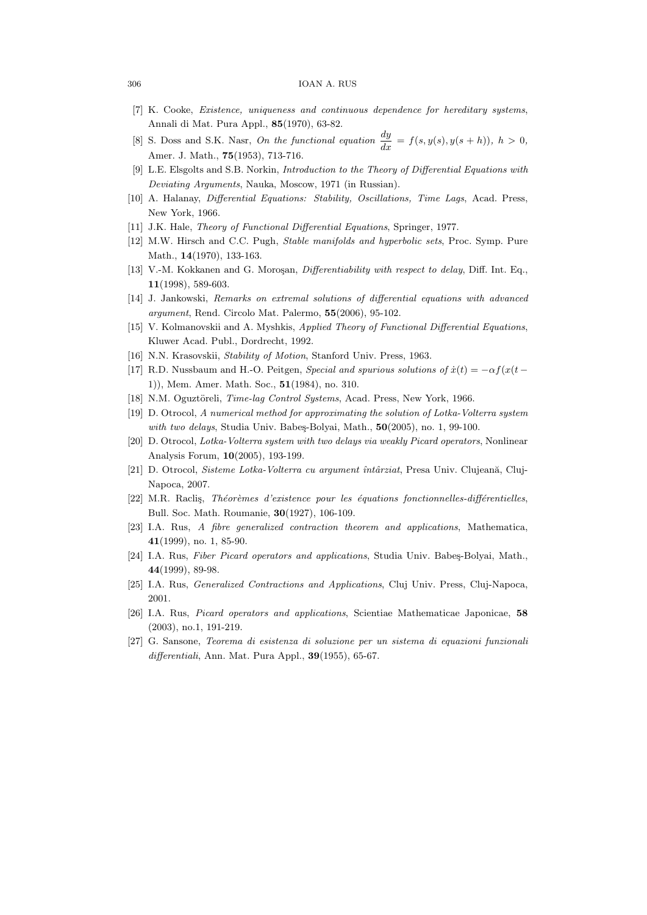#### 306 IOAN A. RUS

- [7] K. Cooke, Existence, uniqueness and continuous dependence for hereditary systems, Annali di Mat. Pura Appl., 85(1970), 63-82.
- [8] S. Doss and S.K. Nasr, On the functional equation  $\frac{dy}{dx} = f(s, y(s), y(s+h)), h > 0$ , Amer. J. Math., **75**(1953), 713-716.
- [9] L.E. Elsgolts and S.B. Norkin, Introduction to the Theory of Differential Equations with Deviating Arguments, Nauka, Moscow, 1971 (in Russian).
- [10] A. Halanay, Differential Equations: Stability, Oscillations, Time Lags, Acad. Press, New York, 1966.
- [11] J.K. Hale, Theory of Functional Differential Equations, Springer, 1977.
- [12] M.W. Hirsch and C.C. Pugh, Stable manifolds and hyperbolic sets, Proc. Symp. Pure Math., 14(1970), 133-163.
- [13] V.-M. Kokkanen and G. Moroşan, *Differentiability with respect to delay*, Diff. Int. Eq., 11(1998), 589-603.
- [14] J. Jankowski, Remarks on extremal solutions of differential equations with advanced argument, Rend. Circolo Mat. Palermo, 55(2006), 95-102.
- [15] V. Kolmanovskii and A. Myshkis, Applied Theory of Functional Differential Equations, Kluwer Acad. Publ., Dordrecht, 1992.
- [16] N.N. Krasovskii, Stability of Motion, Stanford Univ. Press, 1963.
- [17] R.D. Nussbaum and H.-O. Peitgen, Special and spurious solutions of  $\dot{x}(t) = -\alpha f(x(t -$ 1)), Mem. Amer. Math. Soc., 51(1984), no. 310.
- [18] N.M. Oguztöreli, Time-lag Control Systems, Acad. Press, New York, 1966.
- [19] D. Otrocol, A numerical method for approximating the solution of Lotka-Volterra system with two delays, Studia Univ. Babes-Bolyai, Math.,  $50(2005)$ , no. 1, 99-100.
- [20] D. Otrocol, Lotka-Volterra system with two delays via weakly Picard operators, Nonlinear Analysis Forum, 10(2005), 193-199.
- [21] D. Otrocol, Sisteme Lotka-Volterra cu argument întârziat, Presa Univ. Clujeană, Cluj-Napoca, 2007.
- [22] M.R. Raclis, Théorèmes d'existence pour les équations fonctionnelles-différentielles, Bull. Soc. Math. Roumanie, 30(1927), 106-109.
- [23] I.A. Rus, A fibre generalized contraction theorem and applications, Mathematica, 41(1999), no. 1, 85-90.
- [24] I.A. Rus, Fiber Picard operators and applications, Studia Univ. Babes-Bolyai, Math., 44(1999), 89-98.
- [25] I.A. Rus, Generalized Contractions and Applications, Cluj Univ. Press, Cluj-Napoca, 2001.
- [26] I.A. Rus, Picard operators and applications, Scientiae Mathematicae Japonicae, 58 (2003), no.1, 191-219.
- [27] G. Sansone, Teorema di esistenza di soluzione per un sistema di equazioni funzionali differentiali, Ann. Mat. Pura Appl.,  $39(1955)$ , 65-67.